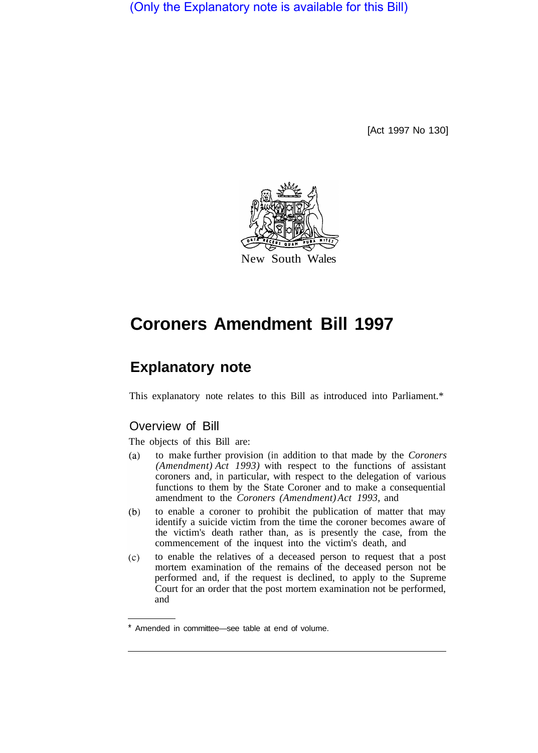(Only the Explanatory note is available for this Bill)

[Act 1997 No 130]



# **Coroners Amendment Bill 1997**

## **Explanatory note**

This explanatory note relates to this Bill as introduced into Parliament.\*

### Overview of Bill

The objects of this Bill are:

- $(a)$ to make further provision (in addition to that made by the *Coroners (Amendment) Act 1993)* with respect to the functions of assistant coroners and, in particular, with respect to the delegation of various functions to them by the State Coroner and to make a consequential amendment to the *Coroners (Amendment) Act 1993,* and
- to enable a coroner to prohibit the publication of matter that may  $(b)$ identify a suicide victim from the time the coroner becomes aware of the victim's death rather than, as is presently the case, from the commencement of the inquest into the victim's death, and
- to enable the relatives of a deceased person to request that a post  $(c)$ mortem examination of the remains of the deceased person not be performed and, if the request is declined, to apply to the Supreme Court for an order that the post mortem examination not be performed, and

Amended in committee—see table at end of volume.